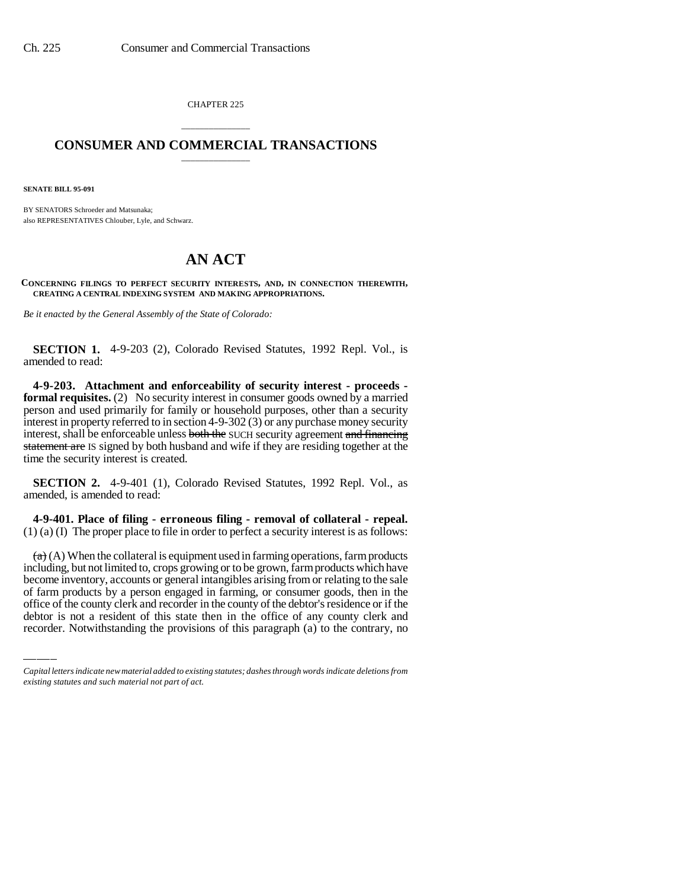CHAPTER 225

# \_\_\_\_\_\_\_\_\_\_\_\_\_\_\_ **CONSUMER AND COMMERCIAL TRANSACTIONS** \_\_\_\_\_\_\_\_\_\_\_\_\_\_\_

**SENATE BILL 95-091**

BY SENATORS Schroeder and Matsunaka; also REPRESENTATIVES Chlouber, Lyle, and Schwarz.

# **AN ACT**

**CONCERNING FILINGS TO PERFECT SECURITY INTERESTS, AND, IN CONNECTION THEREWITH, CREATING A CENTRAL INDEXING SYSTEM AND MAKING APPROPRIATIONS.**

*Be it enacted by the General Assembly of the State of Colorado:*

**SECTION 1.** 4-9-203 (2), Colorado Revised Statutes, 1992 Repl. Vol., is amended to read:

**4-9-203. Attachment and enforceability of security interest - proceeds formal requisites.** (2) No security interest in consumer goods owned by a married person and used primarily for family or household purposes, other than a security interest in property referred to in section 4-9-302 (3) or any purchase money security interest, shall be enforceable unless both the SUCH security agreement and financing statement are IS signed by both husband and wife if they are residing together at the time the security interest is created.

**SECTION 2.** 4-9-401 (1), Colorado Revised Statutes, 1992 Repl. Vol., as amended, is amended to read:

**4-9-401. Place of filing - erroneous filing - removal of collateral - repeal.** (1) (a) (I) The proper place to file in order to perfect a security interest is as follows:

become inventory, accounts or general intangibles arising from or relating to the sale  $(a)$  (A) When the collateral is equipment used in farming operations, farm products including, but not limited to, crops growing or to be grown, farm products which have of farm products by a person engaged in farming, or consumer goods, then in the office of the county clerk and recorder in the county of the debtor's residence or if the debtor is not a resident of this state then in the office of any county clerk and recorder. Notwithstanding the provisions of this paragraph (a) to the contrary, no

*Capital letters indicate new material added to existing statutes; dashes through words indicate deletions from existing statutes and such material not part of act.*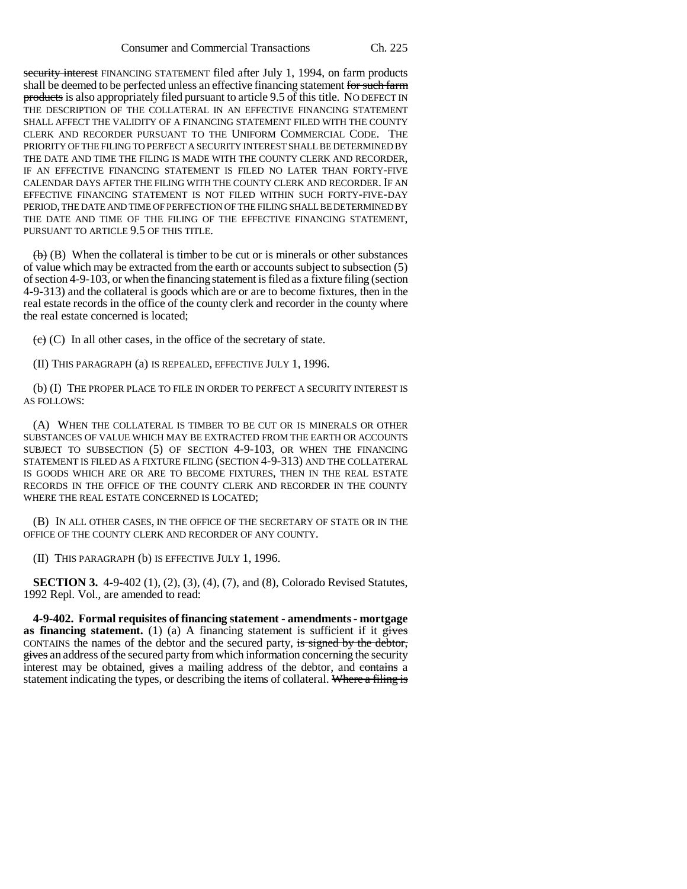security interest FINANCING STATEMENT filed after July 1, 1994, on farm products shall be deemed to be perfected unless an effective financing statement for such farm products is also appropriately filed pursuant to article 9.5 of this title. NO DEFECT IN THE DESCRIPTION OF THE COLLATERAL IN AN EFFECTIVE FINANCING STATEMENT SHALL AFFECT THE VALIDITY OF A FINANCING STATEMENT FILED WITH THE COUNTY CLERK AND RECORDER PURSUANT TO THE UNIFORM COMMERCIAL CODE. THE PRIORITY OF THE FILING TO PERFECT A SECURITY INTEREST SHALL BE DETERMINED BY THE DATE AND TIME THE FILING IS MADE WITH THE COUNTY CLERK AND RECORDER, IF AN EFFECTIVE FINANCING STATEMENT IS FILED NO LATER THAN FORTY-FIVE CALENDAR DAYS AFTER THE FILING WITH THE COUNTY CLERK AND RECORDER. IF AN EFFECTIVE FINANCING STATEMENT IS NOT FILED WITHIN SUCH FORTY-FIVE-DAY PERIOD, THE DATE AND TIME OF PERFECTION OF THE FILING SHALL BE DETERMINED BY THE DATE AND TIME OF THE FILING OF THE EFFECTIVE FINANCING STATEMENT, PURSUANT TO ARTICLE 9.5 OF THIS TITLE.

 $\leftrightarrow$  (B) When the collateral is timber to be cut or is minerals or other substances of value which may be extracted from the earth or accounts subject to subsection (5) of section 4-9-103, or when the financing statement is filed as a fixture filing (section 4-9-313) and the collateral is goods which are or are to become fixtures, then in the real estate records in the office of the county clerk and recorder in the county where the real estate concerned is located;

 $\left(\overrightarrow{c}\right)$  (C) In all other cases, in the office of the secretary of state.

(II) THIS PARAGRAPH (a) IS REPEALED, EFFECTIVE JULY 1, 1996.

(b) (I) THE PROPER PLACE TO FILE IN ORDER TO PERFECT A SECURITY INTEREST IS AS FOLLOWS:

(A) WHEN THE COLLATERAL IS TIMBER TO BE CUT OR IS MINERALS OR OTHER SUBSTANCES OF VALUE WHICH MAY BE EXTRACTED FROM THE EARTH OR ACCOUNTS SUBJECT TO SUBSECTION (5) OF SECTION 4-9-103, OR WHEN THE FINANCING STATEMENT IS FILED AS A FIXTURE FILING (SECTION 4-9-313) AND THE COLLATERAL IS GOODS WHICH ARE OR ARE TO BECOME FIXTURES, THEN IN THE REAL ESTATE RECORDS IN THE OFFICE OF THE COUNTY CLERK AND RECORDER IN THE COUNTY WHERE THE REAL ESTATE CONCERNED IS LOCATED;

(B) IN ALL OTHER CASES, IN THE OFFICE OF THE SECRETARY OF STATE OR IN THE OFFICE OF THE COUNTY CLERK AND RECORDER OF ANY COUNTY.

(II) THIS PARAGRAPH (b) IS EFFECTIVE JULY 1, 1996.

**SECTION 3.** 4-9-402 (1), (2), (3), (4), (7), and (8), Colorado Revised Statutes, 1992 Repl. Vol., are amended to read:

**4-9-402. Formal requisites of financing statement - amendments - mortgage as financing statement.** (1) (a) A financing statement is sufficient if it  $\frac{e}{e}$ CONTAINS the names of the debtor and the secured party, is signed by the debtor, gives an address of the secured party from which information concerning the security interest may be obtained, gives a mailing address of the debtor, and contains a statement indicating the types, or describing the items of collateral. Where a filing is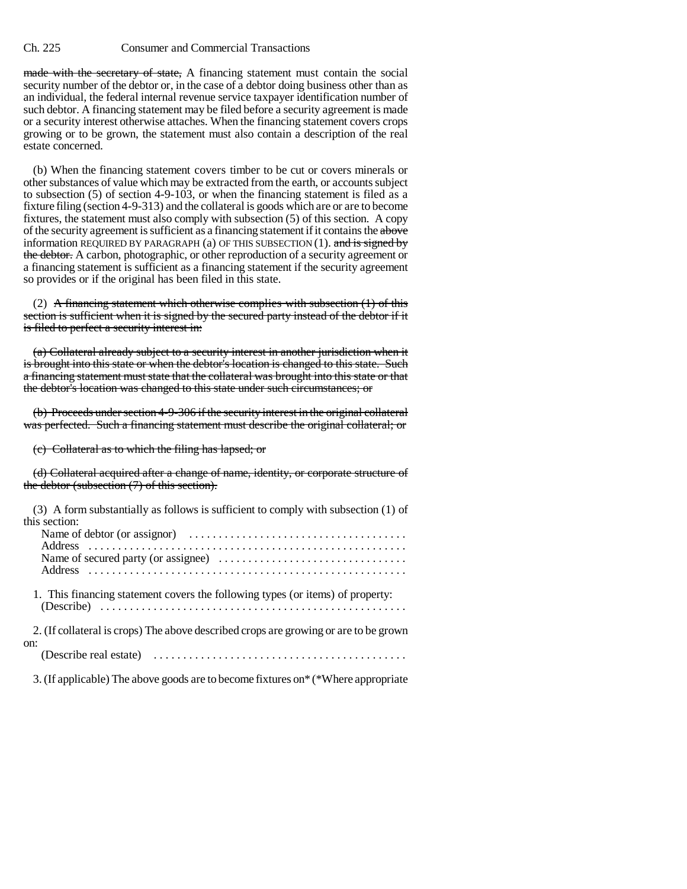made with the secretary of state, A financing statement must contain the social security number of the debtor or, in the case of a debtor doing business other than as an individual, the federal internal revenue service taxpayer identification number of such debtor. A financing statement may be filed before a security agreement is made or a security interest otherwise attaches. When the financing statement covers crops growing or to be grown, the statement must also contain a description of the real estate concerned.

(b) When the financing statement covers timber to be cut or covers minerals or other substances of value which may be extracted from the earth, or accounts subject to subsection (5) of section 4-9-103, or when the financing statement is filed as a fixture filing (section 4-9-313) and the collateral is goods which are or are to become fixtures, the statement must also comply with subsection (5) of this section. A copy of the security agreement is sufficient as a financing statement if it contains the above information REQUIRED BY PARAGRAPH (a) OF THIS SUBSECTION  $(1)$ . and is signed by the debtor. A carbon, photographic, or other reproduction of a security agreement or a financing statement is sufficient as a financing statement if the security agreement so provides or if the original has been filed in this state.

(2) A financing statement which otherwise complies with subsection  $(1)$  of this section is sufficient when it is signed by the secured party instead of the debtor if it is filed to perfect a security interest in:

(a) Collateral already subject to a security interest in another jurisdiction when it is brought into this state or when the debtor's location is changed to this state. Such a financing statement must state that the collateral was brought into this state or that the debtor's location was changed to this state under such circumstances; or

(b) Proceeds under section 4-9-306 if the security interest in the original collateral was perfected. Such a financing statement must describe the original collateral; or

(c) Collateral as to which the filing has lapsed; or

(d) Collateral acquired after a change of name, identity, or corporate structure of the debtor (subsection (7) of this section).

| (3) A form substantially as follows is sufficient to comply with subsection (1) of<br>this section:                 |
|---------------------------------------------------------------------------------------------------------------------|
|                                                                                                                     |
|                                                                                                                     |
| 1. This financing statement covers the following types (or items) of property:                                      |
| 2. (If collateral is crops) The above described crops are growing or are to be grown                                |
| on:<br>(Describe real estate) $\ldots \ldots \ldots \ldots \ldots \ldots \ldots \ldots \ldots \ldots \ldots \ldots$ |

3. (If applicable) The above goods are to become fixtures on\* (\*Where appropriate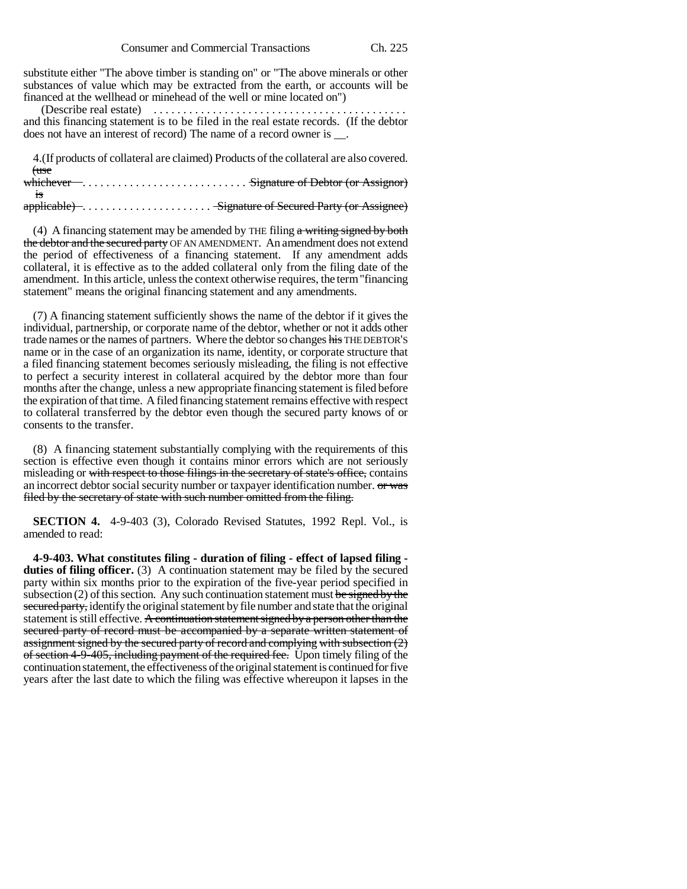substitute either "The above timber is standing on" or "The above minerals or other substances of value which may be extracted from the earth, or accounts will be financed at the wellhead or minehead of the well or mine located on")

 (Describe real estate) . . . . . . . . . . . . . . . . . . . . . . . . . . . . . . . . . . . . . . . . . . . and this financing statement is to be filed in the real estate records. (If the debtor does not have an interest of record) The name of a record owner is \_\_.

4.(If products of collateral are claimed) Products of the collateral are also covered. (use

whichever . . . . . . . . . . . . . . . . . . . . . . . . . . . . Signature of Debtor (or Assignor) is

applicable) . . . . . . . . . . . . . . . . . . . . . . Signature of Secured Party (or Assignee)

(4) A financing statement may be amended by THE filing  $\alpha$  writing signed by both the debtor and the secured party OF AN AMENDMENT. An amendment does not extend the period of effectiveness of a financing statement. If any amendment adds collateral, it is effective as to the added collateral only from the filing date of the amendment. In this article, unless the context otherwise requires, the term "financing statement" means the original financing statement and any amendments.

(7) A financing statement sufficiently shows the name of the debtor if it gives the individual, partnership, or corporate name of the debtor, whether or not it adds other trade names or the names of partners. Where the debtor so changes his THE DEBTOR'S name or in the case of an organization its name, identity, or corporate structure that a filed financing statement becomes seriously misleading, the filing is not effective to perfect a security interest in collateral acquired by the debtor more than four months after the change, unless a new appropriate financing statement is filed before the expiration of that time. A filed financing statement remains effective with respect to collateral transferred by the debtor even though the secured party knows of or consents to the transfer.

(8) A financing statement substantially complying with the requirements of this section is effective even though it contains minor errors which are not seriously misleading or with respect to those filings in the secretary of state's office, contains an incorrect debtor social security number or taxpayer identification number. or was filed by the secretary of state with such number omitted from the filing.

**SECTION 4.** 4-9-403 (3), Colorado Revised Statutes, 1992 Repl. Vol., is amended to read:

**4-9-403. What constitutes filing - duration of filing - effect of lapsed filing duties of filing officer.** (3) A continuation statement may be filed by the secured party within six months prior to the expiration of the five-year period specified in subsection  $(2)$  of this section. Any such continuation statement must be signed by the secured party, identify the original statement by file number and state that the original statement is still effective. A continuation statement signed by a person other than the secured party of record must be accompanied by a separate written statement of assignment signed by the secured party of record and complying with subsection  $(2)$ of section 4-9-405, including payment of the required fee. Upon timely filing of the continuation statement, the effectiveness of the original statement is continued for five years after the last date to which the filing was effective whereupon it lapses in the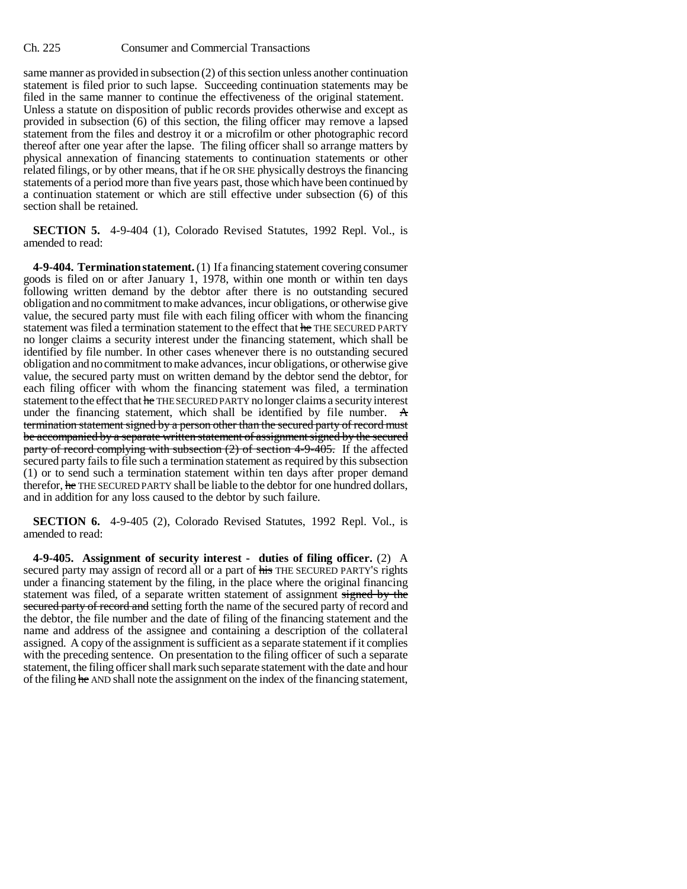same manner as provided in subsection (2) of this section unless another continuation statement is filed prior to such lapse. Succeeding continuation statements may be filed in the same manner to continue the effectiveness of the original statement. Unless a statute on disposition of public records provides otherwise and except as provided in subsection (6) of this section, the filing officer may remove a lapsed statement from the files and destroy it or a microfilm or other photographic record thereof after one year after the lapse. The filing officer shall so arrange matters by physical annexation of financing statements to continuation statements or other related filings, or by other means, that if he OR SHE physically destroys the financing statements of a period more than five years past, those which have been continued by a continuation statement or which are still effective under subsection (6) of this section shall be retained.

**SECTION 5.** 4-9-404 (1), Colorado Revised Statutes, 1992 Repl. Vol., is amended to read:

**4-9-404. Termination statement.** (1) If a financing statement covering consumer goods is filed on or after January 1, 1978, within one month or within ten days following written demand by the debtor after there is no outstanding secured obligation and no commitment to make advances, incur obligations, or otherwise give value, the secured party must file with each filing officer with whom the financing statement was filed a termination statement to the effect that he THE SECURED PARTY no longer claims a security interest under the financing statement, which shall be identified by file number. In other cases whenever there is no outstanding secured obligation and no commitment to make advances, incur obligations, or otherwise give value, the secured party must on written demand by the debtor send the debtor, for each filing officer with whom the financing statement was filed, a termination statement to the effect that he THE SECURED PARTY no longer claims a security interest under the financing statement, which shall be identified by file number. A termination statement signed by a person other than the secured party of record must be accompanied by a separate written statement of assignment signed by the secured party of record complying with subsection (2) of section 4-9-405. If the affected secured party fails to file such a termination statement as required by this subsection (1) or to send such a termination statement within ten days after proper demand therefor, he THE SECURED PARTY shall be liable to the debtor for one hundred dollars, and in addition for any loss caused to the debtor by such failure.

**SECTION 6.** 4-9-405 (2), Colorado Revised Statutes, 1992 Repl. Vol., is amended to read:

**4-9-405. Assignment of security interest - duties of filing officer.** (2) A secured party may assign of record all or a part of his THE SECURED PARTY'S rights under a financing statement by the filing, in the place where the original financing statement was filed, of a separate written statement of assignment signed by the secured party of record and setting forth the name of the secured party of record and the debtor, the file number and the date of filing of the financing statement and the name and address of the assignee and containing a description of the collateral assigned. A copy of the assignment is sufficient as a separate statement if it complies with the preceding sentence. On presentation to the filing officer of such a separate statement, the filing officer shall mark such separate statement with the date and hour of the filing he AND shall note the assignment on the index of the financing statement,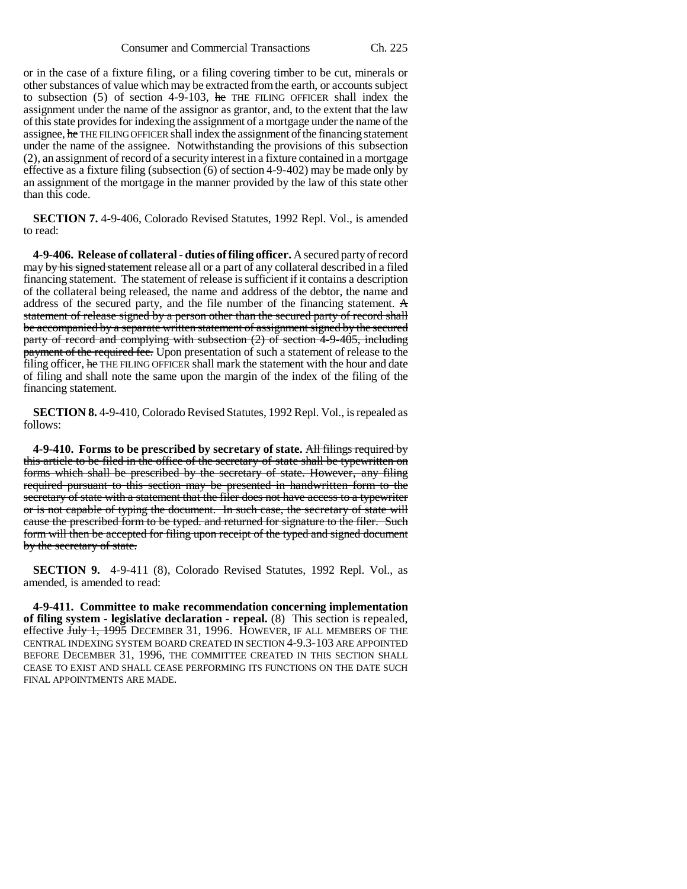or in the case of a fixture filing, or a filing covering timber to be cut, minerals or other substances of value which may be extracted from the earth, or accounts subject to subsection  $(5)$  of section 4-9-103, he THE FILING OFFICER shall index the assignment under the name of the assignor as grantor, and, to the extent that the law of this state provides for indexing the assignment of a mortgage under the name of the assignee, he THE FILING OFFICER shall index the assignment of the financing statement under the name of the assignee. Notwithstanding the provisions of this subsection (2), an assignment of record of a security interest in a fixture contained in a mortgage effective as a fixture filing (subsection (6) of section 4-9-402) may be made only by an assignment of the mortgage in the manner provided by the law of this state other than this code.

**SECTION 7.** 4-9-406, Colorado Revised Statutes, 1992 Repl. Vol., is amended to read:

**4-9-406. Release of collateral - duties of filing officer.** A secured party of record may by his signed statement release all or a part of any collateral described in a filed financing statement. The statement of release is sufficient if it contains a description of the collateral being released, the name and address of the debtor, the name and address of the secured party, and the file number of the financing statement. A statement of release signed by a person other than the secured party of record shall be accompanied by a separate written statement of assignment signed by the secured party of record and complying with subsection  $(2)$  of section  $4-9-405$ , including payment of the required fee. Upon presentation of such a statement of release to the filing officer, he THE FILING OFFICER shall mark the statement with the hour and date of filing and shall note the same upon the margin of the index of the filing of the financing statement.

**SECTION 8.** 4-9-410, Colorado Revised Statutes, 1992 Repl. Vol., is repealed as follows:

**4-9-410. Forms to be prescribed by secretary of state.** All filings required by this article to be filed in the office of the secretary of state shall be typewritten on forms which shall be prescribed by the secretary of state. However, any filing required pursuant to this section may be presented in handwritten form to the secretary of state with a statement that the filer does not have access to a typewriter or is not capable of typing the document. In such case, the secretary of state will cause the prescribed form to be typed. and returned for signature to the filer. Such form will then be accepted for filing upon receipt of the typed and signed document by the secretary of state.

**SECTION 9.** 4-9-411 (8), Colorado Revised Statutes, 1992 Repl. Vol., as amended, is amended to read:

**4-9-411. Committee to make recommendation concerning implementation of filing system - legislative declaration - repeal.** (8) This section is repealed, effective July 1, 1995 DECEMBER 31, 1996. HOWEVER, IF ALL MEMBERS OF THE CENTRAL INDEXING SYSTEM BOARD CREATED IN SECTION 4-9.3-103 ARE APPOINTED BEFORE DECEMBER 31, 1996, THE COMMITTEE CREATED IN THIS SECTION SHALL CEASE TO EXIST AND SHALL CEASE PERFORMING ITS FUNCTIONS ON THE DATE SUCH FINAL APPOINTMENTS ARE MADE.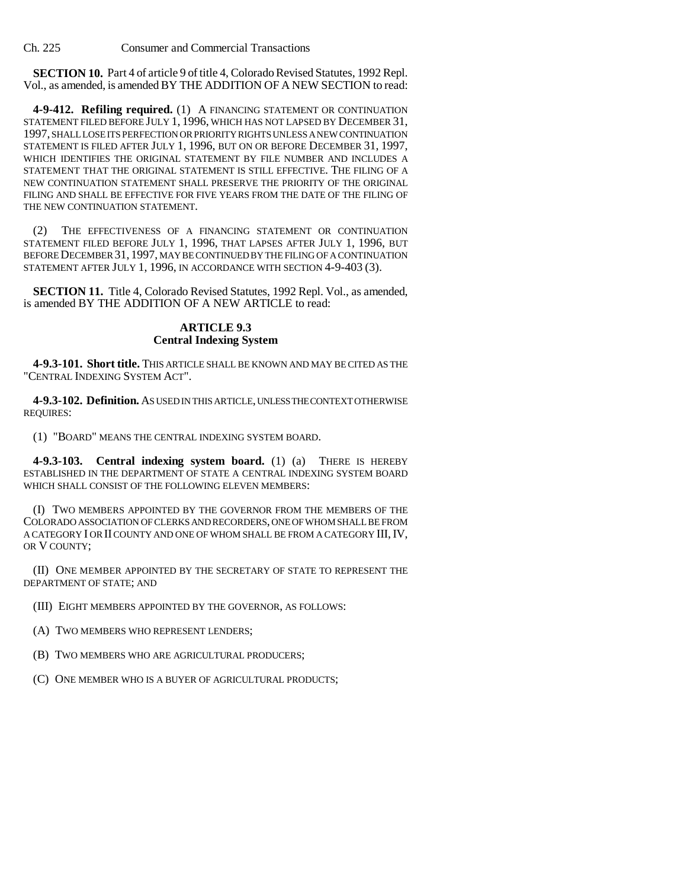**SECTION 10.** Part 4 of article 9 of title 4, Colorado Revised Statutes, 1992 Repl. Vol., as amended, is amended BY THE ADDITION OF A NEW SECTION to read:

**4-9-412. Refiling required.** (1) A FINANCING STATEMENT OR CONTINUATION STATEMENT FILED BEFORE JULY 1, 1996, WHICH HAS NOT LAPSED BY DECEMBER 31, 1997, SHALL LOSE ITS PERFECTION OR PRIORITY RIGHTS UNLESS A NEW CONTINUATION STATEMENT IS FILED AFTER JULY 1, 1996, BUT ON OR BEFORE DECEMBER 31, 1997, WHICH IDENTIFIES THE ORIGINAL STATEMENT BY FILE NUMBER AND INCLUDES A STATEMENT THAT THE ORIGINAL STATEMENT IS STILL EFFECTIVE. THE FILING OF A NEW CONTINUATION STATEMENT SHALL PRESERVE THE PRIORITY OF THE ORIGINAL FILING AND SHALL BE EFFECTIVE FOR FIVE YEARS FROM THE DATE OF THE FILING OF THE NEW CONTINUATION STATEMENT.

(2) THE EFFECTIVENESS OF A FINANCING STATEMENT OR CONTINUATION STATEMENT FILED BEFORE JULY 1, 1996, THAT LAPSES AFTER JULY 1, 1996, BUT BEFORE DECEMBER 31, 1997, MAY BE CONTINUED BY THE FILING OF A CONTINUATION STATEMENT AFTER JULY 1, 1996, IN ACCORDANCE WITH SECTION 4-9-403 (3).

**SECTION 11.** Title 4, Colorado Revised Statutes, 1992 Repl. Vol., as amended, is amended BY THE ADDITION OF A NEW ARTICLE to read:

## **ARTICLE 9.3 Central Indexing System**

**4-9.3-101. Short title.** THIS ARTICLE SHALL BE KNOWN AND MAY BE CITED AS THE "CENTRAL INDEXING SYSTEM ACT".

**4-9.3-102. Definition.** AS USED IN THIS ARTICLE, UNLESS THE CONTEXT OTHERWISE REQUIRES:

(1) "BOARD" MEANS THE CENTRAL INDEXING SYSTEM BOARD.

**4-9.3-103. Central indexing system board.** (1) (a) THERE IS HEREBY ESTABLISHED IN THE DEPARTMENT OF STATE A CENTRAL INDEXING SYSTEM BOARD WHICH SHALL CONSIST OF THE FOLLOWING ELEVEN MEMBERS:

(I) TWO MEMBERS APPOINTED BY THE GOVERNOR FROM THE MEMBERS OF THE COLORADO ASSOCIATION OF CLERKS AND RECORDERS, ONE OF WHOM SHALL BE FROM A CATEGORY I OR II COUNTY AND ONE OF WHOM SHALL BE FROM A CATEGORY III,IV, OR V COUNTY;

(II) ONE MEMBER APPOINTED BY THE SECRETARY OF STATE TO REPRESENT THE DEPARTMENT OF STATE; AND

(III) EIGHT MEMBERS APPOINTED BY THE GOVERNOR, AS FOLLOWS:

(A) TWO MEMBERS WHO REPRESENT LENDERS;

(B) TWO MEMBERS WHO ARE AGRICULTURAL PRODUCERS;

(C) ONE MEMBER WHO IS A BUYER OF AGRICULTURAL PRODUCTS;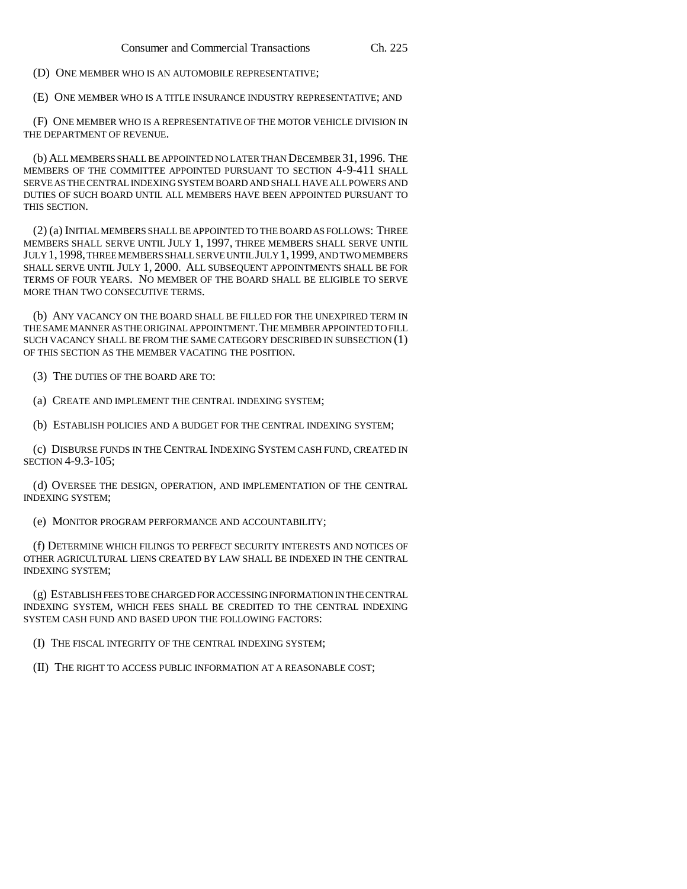(D) ONE MEMBER WHO IS AN AUTOMOBILE REPRESENTATIVE;

(E) ONE MEMBER WHO IS A TITLE INSURANCE INDUSTRY REPRESENTATIVE; AND

(F) ONE MEMBER WHO IS A REPRESENTATIVE OF THE MOTOR VEHICLE DIVISION IN THE DEPARTMENT OF REVENUE.

(b) ALL MEMBERS SHALL BE APPOINTED NO LATER THAN DECEMBER 31, 1996. THE MEMBERS OF THE COMMITTEE APPOINTED PURSUANT TO SECTION 4-9-411 SHALL SERVE AS THE CENTRAL INDEXING SYSTEM BOARD AND SHALL HAVE ALL POWERS AND DUTIES OF SUCH BOARD UNTIL ALL MEMBERS HAVE BEEN APPOINTED PURSUANT TO THIS SECTION.

(2) (a) INITIAL MEMBERS SHALL BE APPOINTED TO THE BOARD AS FOLLOWS: THREE MEMBERS SHALL SERVE UNTIL JULY 1, 1997, THREE MEMBERS SHALL SERVE UNTIL JULY 1,1998, THREE MEMBERS SHALL SERVE UNTIL JULY 1,1999, AND TWO MEMBERS SHALL SERVE UNTIL JULY 1, 2000. ALL SUBSEQUENT APPOINTMENTS SHALL BE FOR TERMS OF FOUR YEARS. NO MEMBER OF THE BOARD SHALL BE ELIGIBLE TO SERVE MORE THAN TWO CONSECUTIVE TERMS.

(b) ANY VACANCY ON THE BOARD SHALL BE FILLED FOR THE UNEXPIRED TERM IN THE SAME MANNER AS THE ORIGINAL APPOINTMENT.THE MEMBER APPOINTED TO FILL SUCH VACANCY SHALL BE FROM THE SAME CATEGORY DESCRIBED IN SUBSECTION (1) OF THIS SECTION AS THE MEMBER VACATING THE POSITION.

(3) THE DUTIES OF THE BOARD ARE TO:

(a) CREATE AND IMPLEMENT THE CENTRAL INDEXING SYSTEM;

(b) ESTABLISH POLICIES AND A BUDGET FOR THE CENTRAL INDEXING SYSTEM;

(c) DISBURSE FUNDS IN THE CENTRAL INDEXING SYSTEM CASH FUND, CREATED IN SECTION 4-9.3-105;

(d) OVERSEE THE DESIGN, OPERATION, AND IMPLEMENTATION OF THE CENTRAL INDEXING SYSTEM;

(e) MONITOR PROGRAM PERFORMANCE AND ACCOUNTABILITY;

(f) DETERMINE WHICH FILINGS TO PERFECT SECURITY INTERESTS AND NOTICES OF OTHER AGRICULTURAL LIENS CREATED BY LAW SHALL BE INDEXED IN THE CENTRAL INDEXING SYSTEM;

(g) ESTABLISH FEES TO BE CHARGED FOR ACCESSING INFORMATION IN THE CENTRAL INDEXING SYSTEM, WHICH FEES SHALL BE CREDITED TO THE CENTRAL INDEXING SYSTEM CASH FUND AND BASED UPON THE FOLLOWING FACTORS:

(I) THE FISCAL INTEGRITY OF THE CENTRAL INDEXING SYSTEM;

(II) THE RIGHT TO ACCESS PUBLIC INFORMATION AT A REASONABLE COST;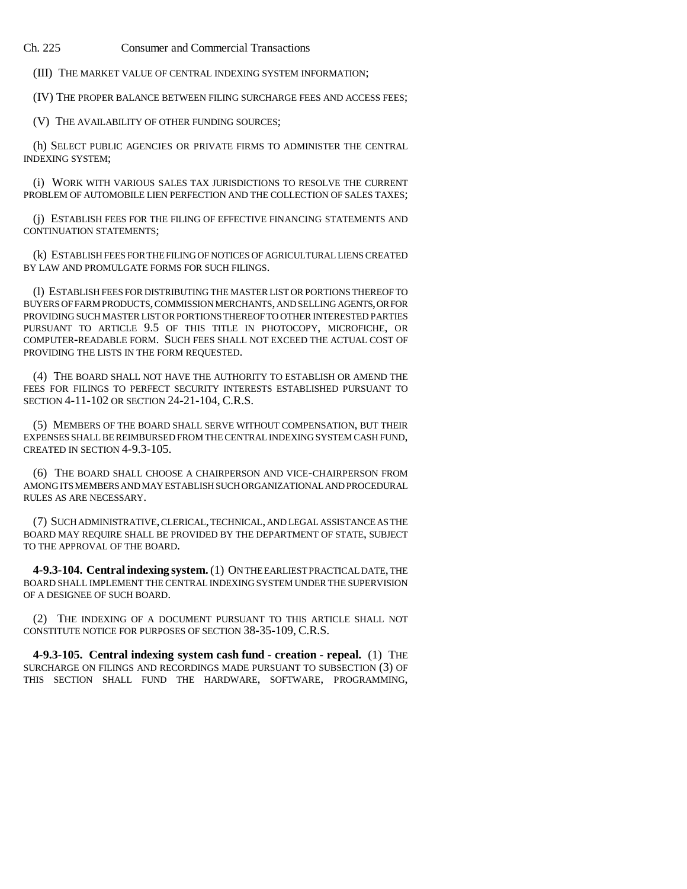(III) THE MARKET VALUE OF CENTRAL INDEXING SYSTEM INFORMATION;

(IV) THE PROPER BALANCE BETWEEN FILING SURCHARGE FEES AND ACCESS FEES;

(V) THE AVAILABILITY OF OTHER FUNDING SOURCES;

(h) SELECT PUBLIC AGENCIES OR PRIVATE FIRMS TO ADMINISTER THE CENTRAL INDEXING SYSTEM;

(i) WORK WITH VARIOUS SALES TAX JURISDICTIONS TO RESOLVE THE CURRENT PROBLEM OF AUTOMOBILE LIEN PERFECTION AND THE COLLECTION OF SALES TAXES;

(j) ESTABLISH FEES FOR THE FILING OF EFFECTIVE FINANCING STATEMENTS AND CONTINUATION STATEMENTS;

(k) ESTABLISH FEES FOR THE FILING OF NOTICES OF AGRICULTURAL LIENS CREATED BY LAW AND PROMULGATE FORMS FOR SUCH FILINGS.

(l) ESTABLISH FEES FOR DISTRIBUTING THE MASTER LIST OR PORTIONS THEREOF TO BUYERS OF FARM PRODUCTS, COMMISSION MERCHANTS, AND SELLING AGENTS, OR FOR PROVIDING SUCH MASTER LIST OR PORTIONS THEREOF TO OTHER INTERESTED PARTIES PURSUANT TO ARTICLE 9.5 OF THIS TITLE IN PHOTOCOPY, MICROFICHE, OR COMPUTER-READABLE FORM. SUCH FEES SHALL NOT EXCEED THE ACTUAL COST OF PROVIDING THE LISTS IN THE FORM REQUESTED.

(4) THE BOARD SHALL NOT HAVE THE AUTHORITY TO ESTABLISH OR AMEND THE FEES FOR FILINGS TO PERFECT SECURITY INTERESTS ESTABLISHED PURSUANT TO SECTION 4-11-102 OR SECTION 24-21-104, C.R.S.

(5) MEMBERS OF THE BOARD SHALL SERVE WITHOUT COMPENSATION, BUT THEIR EXPENSES SHALL BE REIMBURSED FROM THE CENTRAL INDEXING SYSTEM CASH FUND, CREATED IN SECTION 4-9.3-105.

(6) THE BOARD SHALL CHOOSE A CHAIRPERSON AND VICE-CHAIRPERSON FROM AMONG ITS MEMBERS AND MAY ESTABLISH SUCH ORGANIZATIONAL AND PROCEDURAL RULES AS ARE NECESSARY.

(7) SUCH ADMINISTRATIVE, CLERICAL, TECHNICAL, AND LEGAL ASSISTANCE AS THE BOARD MAY REQUIRE SHALL BE PROVIDED BY THE DEPARTMENT OF STATE, SUBJECT TO THE APPROVAL OF THE BOARD.

**4-9.3-104. Central indexing system.** (1) ON THE EARLIEST PRACTICAL DATE, THE BOARD SHALL IMPLEMENT THE CENTRAL INDEXING SYSTEM UNDER THE SUPERVISION OF A DESIGNEE OF SUCH BOARD.

(2) THE INDEXING OF A DOCUMENT PURSUANT TO THIS ARTICLE SHALL NOT CONSTITUTE NOTICE FOR PURPOSES OF SECTION 38-35-109, C.R.S.

**4-9.3-105. Central indexing system cash fund - creation - repeal.** (1) THE SURCHARGE ON FILINGS AND RECORDINGS MADE PURSUANT TO SUBSECTION (3) OF THIS SECTION SHALL FUND THE HARDWARE, SOFTWARE, PROGRAMMING,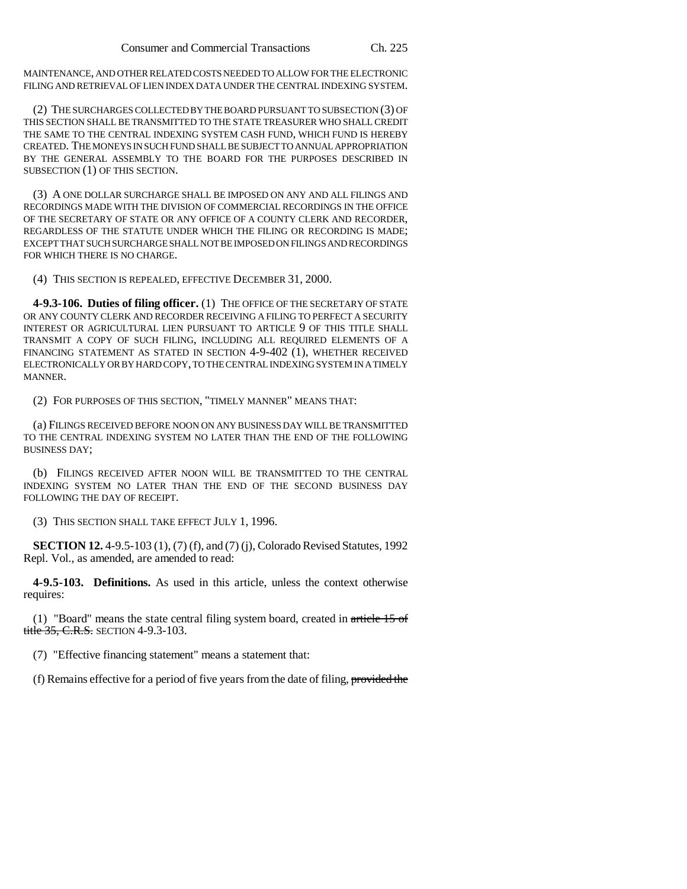MAINTENANCE, AND OTHER RELATED COSTS NEEDED TO ALLOW FOR THE ELECTRONIC FILING AND RETRIEVAL OF LIEN INDEX DATA UNDER THE CENTRAL INDEXING SYSTEM.

(2) THE SURCHARGES COLLECTED BY THE BOARD PURSUANT TO SUBSECTION (3) OF THIS SECTION SHALL BE TRANSMITTED TO THE STATE TREASURER WHO SHALL CREDIT THE SAME TO THE CENTRAL INDEXING SYSTEM CASH FUND, WHICH FUND IS HEREBY CREATED. THE MONEYS IN SUCH FUND SHALL BE SUBJECT TO ANNUAL APPROPRIATION BY THE GENERAL ASSEMBLY TO THE BOARD FOR THE PURPOSES DESCRIBED IN SUBSECTION (1) OF THIS SECTION.

(3) A ONE DOLLAR SURCHARGE SHALL BE IMPOSED ON ANY AND ALL FILINGS AND RECORDINGS MADE WITH THE DIVISION OF COMMERCIAL RECORDINGS IN THE OFFICE OF THE SECRETARY OF STATE OR ANY OFFICE OF A COUNTY CLERK AND RECORDER, REGARDLESS OF THE STATUTE UNDER WHICH THE FILING OR RECORDING IS MADE; EXCEPT THAT SUCH SURCHARGE SHALL NOT BE IMPOSED ON FILINGS AND RECORDINGS FOR WHICH THERE IS NO CHARGE.

(4) THIS SECTION IS REPEALED, EFFECTIVE DECEMBER 31, 2000.

**4-9.3-106. Duties of filing officer.** (1) THE OFFICE OF THE SECRETARY OF STATE OR ANY COUNTY CLERK AND RECORDER RECEIVING A FILING TO PERFECT A SECURITY INTEREST OR AGRICULTURAL LIEN PURSUANT TO ARTICLE 9 OF THIS TITLE SHALL TRANSMIT A COPY OF SUCH FILING, INCLUDING ALL REQUIRED ELEMENTS OF A FINANCING STATEMENT AS STATED IN SECTION 4-9-402 (1), WHETHER RECEIVED ELECTRONICALLY OR BY HARD COPY, TO THE CENTRAL INDEXING SYSTEM IN A TIMELY MANNER.

(2) FOR PURPOSES OF THIS SECTION, "TIMELY MANNER" MEANS THAT:

(a) FILINGS RECEIVED BEFORE NOON ON ANY BUSINESS DAY WILL BE TRANSMITTED TO THE CENTRAL INDEXING SYSTEM NO LATER THAN THE END OF THE FOLLOWING BUSINESS DAY;

(b) FILINGS RECEIVED AFTER NOON WILL BE TRANSMITTED TO THE CENTRAL INDEXING SYSTEM NO LATER THAN THE END OF THE SECOND BUSINESS DAY FOLLOWING THE DAY OF RECEIPT.

(3) THIS SECTION SHALL TAKE EFFECT JULY 1, 1996.

**SECTION 12.** 4-9.5-103 (1), (7) (f), and (7) (j), Colorado Revised Statutes, 1992 Repl. Vol., as amended, are amended to read:

**4-9.5-103. Definitions.** As used in this article, unless the context otherwise requires:

(1) "Board" means the state central filing system board, created in  $\frac{\text{article } 15 \text{ of}}{\text{m}}$ title 35, C.R.S. SECTION 4-9.3-103.

(7) "Effective financing statement" means a statement that:

(f) Remains effective for a period of five years from the date of filing, provided the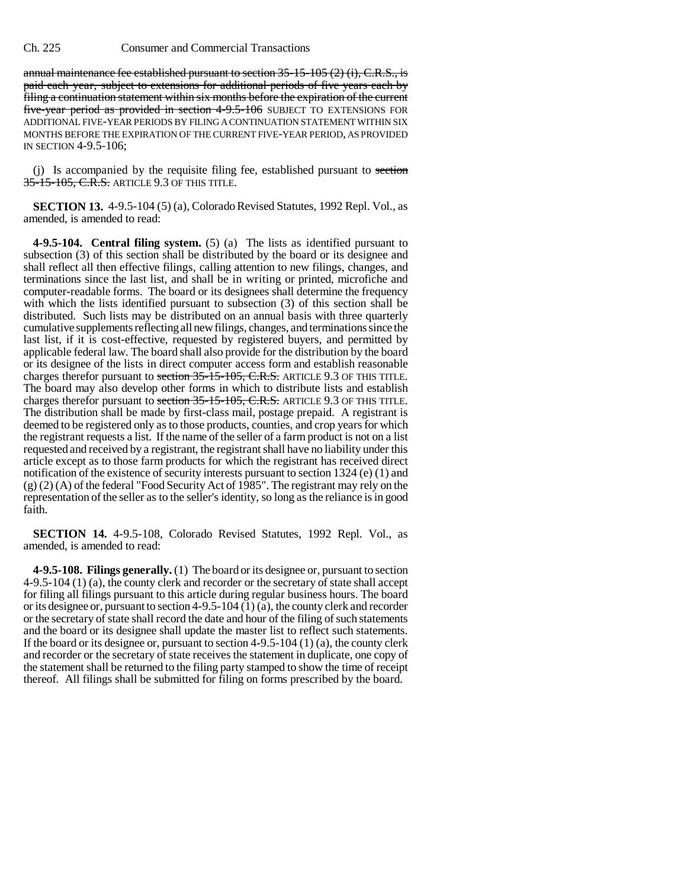annual maintenance fee established pursuant to section  $35-15-105$  (2) (i), C.R.S., is paid each year, subject to extensions for additional periods of five years each by filing a continuation statement within six months before the expiration of the current five-year period as provided in section 4-9.5-106 SUBJECT TO EXTENSIONS FOR ADDITIONAL FIVE-YEAR PERIODS BY FILING A CONTINUATION STATEMENT WITHIN SIX MONTHS BEFORE THE EXPIRATION OF THE CURRENT FIVE-YEAR PERIOD, AS PROVIDED IN SECTION 4-9.5-106;

(j) Is accompanied by the requisite filing fee, established pursuant to section 35-15-105, C.R.S. ARTICLE 9.3 OF THIS TITLE.

**SECTION 13.** 4-9.5-104 (5) (a), Colorado Revised Statutes, 1992 Repl. Vol., as amended, is amended to read:

**4-9.5-104. Central filing system.** (5) (a) The lists as identified pursuant to subsection (3) of this section shall be distributed by the board or its designee and shall reflect all then effective filings, calling attention to new filings, changes, and terminations since the last list, and shall be in writing or printed, microfiche and computer-readable forms. The board or its designees shall determine the frequency with which the lists identified pursuant to subsection (3) of this section shall be distributed. Such lists may be distributed on an annual basis with three quarterly cumulative supplements reflecting all new filings, changes, and terminations since the last list, if it is cost-effective, requested by registered buyers, and permitted by applicable federal law. The board shall also provide for the distribution by the board or its designee of the lists in direct computer access form and establish reasonable charges therefor pursuant to section 35-15-105, C.R.S. ARTICLE 9.3 OF THIS TITLE. The board may also develop other forms in which to distribute lists and establish charges therefor pursuant to section 35-15-105, C.R.S. ARTICLE 9.3 OF THIS TITLE. The distribution shall be made by first-class mail, postage prepaid. A registrant is deemed to be registered only as to those products, counties, and crop years for which the registrant requests a list. If the name of the seller of a farm product is not on a list requested and received by a registrant, the registrant shall have no liability under this article except as to those farm products for which the registrant has received direct notification of the existence of security interests pursuant to section 1324 (e) (1) and (g) (2) (A) of the federal "Food Security Act of 1985". The registrant may rely on the representation of the seller as to the seller's identity, so long as the reliance is in good faith.

**SECTION 14.** 4-9.5-108, Colorado Revised Statutes, 1992 Repl. Vol., as amended, is amended to read:

**4-9.5-108. Filings generally.** (1) The board or its designee or, pursuant to section 4-9.5-104 (1) (a), the county clerk and recorder or the secretary of state shall accept for filing all filings pursuant to this article during regular business hours. The board or its designee or, pursuant to section  $4-9.5-104(1)(a)$ , the county clerk and recorder or the secretary of state shall record the date and hour of the filing of such statements and the board or its designee shall update the master list to reflect such statements. If the board or its designee or, pursuant to section  $4-9.5-104$  (1) (a), the county clerk and recorder or the secretary of state receives the statement in duplicate, one copy of the statement shall be returned to the filing party stamped to show the time of receipt thereof. All filings shall be submitted for filing on forms prescribed by the board.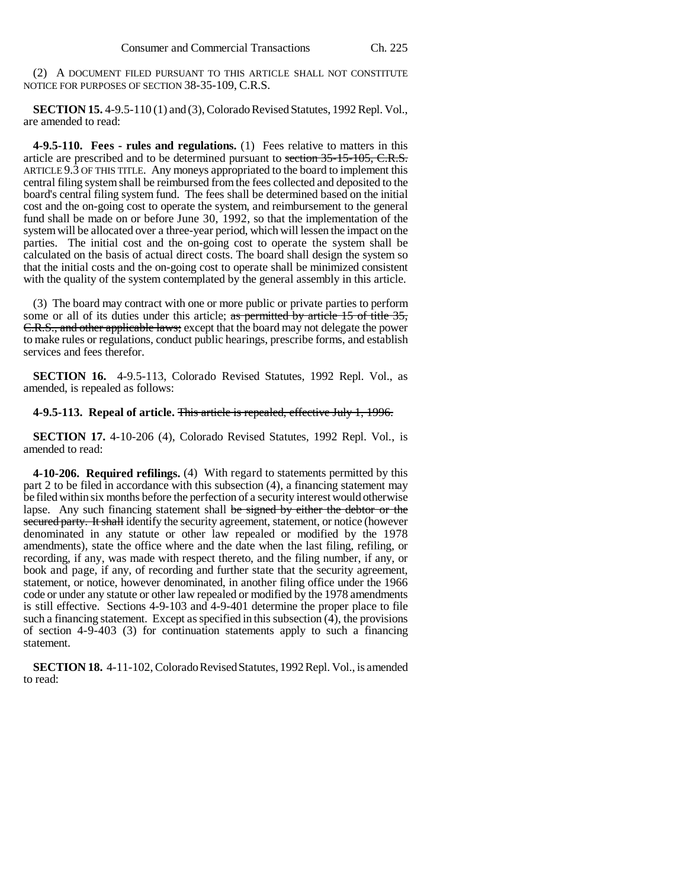(2) A DOCUMENT FILED PURSUANT TO THIS ARTICLE SHALL NOT CONSTITUTE NOTICE FOR PURPOSES OF SECTION 38-35-109, C.R.S.

**SECTION 15.** 4-9.5-110 (1) and (3), Colorado Revised Statutes, 1992 Repl. Vol., are amended to read:

**4-9.5-110. Fees - rules and regulations.** (1) Fees relative to matters in this article are prescribed and to be determined pursuant to section 35-15-105, C.R.S. ARTICLE 9.3 OF THIS TITLE. Any moneys appropriated to the board to implement this central filing system shall be reimbursed from the fees collected and deposited to the board's central filing system fund. The fees shall be determined based on the initial cost and the on-going cost to operate the system, and reimbursement to the general fund shall be made on or before June 30, 1992, so that the implementation of the system will be allocated over a three-year period, which will lessen the impact on the parties. The initial cost and the on-going cost to operate the system shall be calculated on the basis of actual direct costs. The board shall design the system so that the initial costs and the on-going cost to operate shall be minimized consistent with the quality of the system contemplated by the general assembly in this article.

(3) The board may contract with one or more public or private parties to perform some or all of its duties under this article; as permitted by article 15 of title 35, C.R.S., and other applicable laws; except that the board may not delegate the power to make rules or regulations, conduct public hearings, prescribe forms, and establish services and fees therefor.

**SECTION 16.** 4-9.5-113, Colorado Revised Statutes, 1992 Repl. Vol., as amended, is repealed as follows:

### **4-9.5-113. Repeal of article.** This article is repealed, effective July 1, 1996.

**SECTION 17.** 4-10-206 (4), Colorado Revised Statutes, 1992 Repl. Vol., is amended to read:

**4-10-206. Required refilings.** (4) With regard to statements permitted by this part 2 to be filed in accordance with this subsection (4), a financing statement may be filed within six months before the perfection of a security interest would otherwise lapse. Any such financing statement shall be signed by either the debtor or the secured party. It shall identify the security agreement, statement, or notice (however denominated in any statute or other law repealed or modified by the 1978 amendments), state the office where and the date when the last filing, refiling, or recording, if any, was made with respect thereto, and the filing number, if any, or book and page, if any, of recording and further state that the security agreement, statement, or notice, however denominated, in another filing office under the 1966 code or under any statute or other law repealed or modified by the 1978 amendments is still effective. Sections 4-9-103 and 4-9-401 determine the proper place to file such a financing statement. Except as specified in this subsection (4), the provisions of section 4-9-403 (3) for continuation statements apply to such a financing statement.

**SECTION 18.** 4-11-102, Colorado Revised Statutes, 1992 Repl. Vol., is amended to read: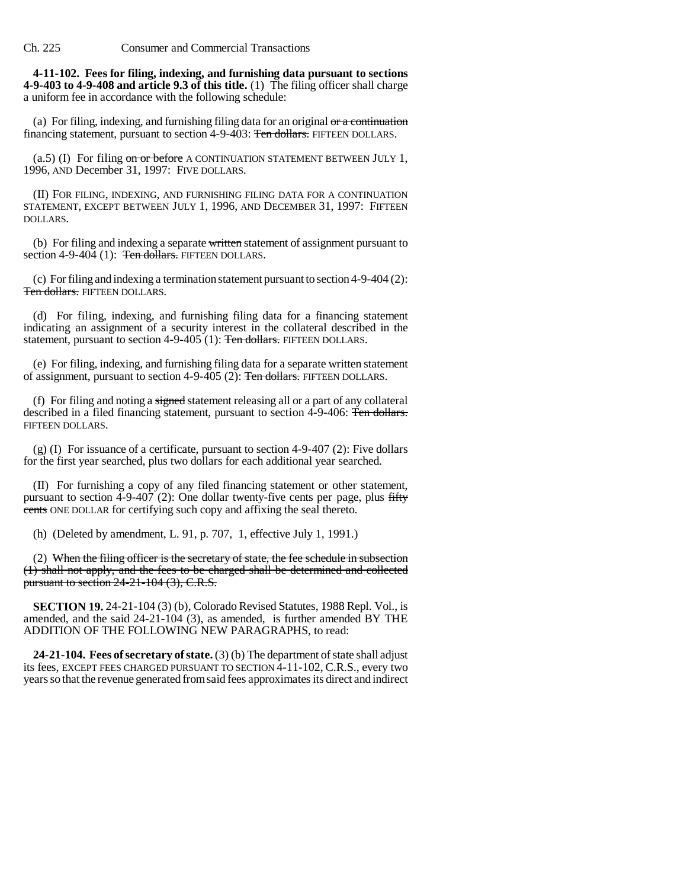**4-11-102. Fees for filing, indexing, and furnishing data pursuant to sections 4-9-403 to 4-9-408 and article 9.3 of this title.** (1) The filing officer shall charge a uniform fee in accordance with the following schedule:

(a) For filing, indexing, and furnishing filing data for an original  $\sigma r$  a continuation financing statement, pursuant to section 4-9-403: Ten dollars. FIFTEEN DOLLARS.

 $(a.5)$  (I) For filing on or before A CONTINUATION STATEMENT BETWEEN JULY 1, 1996, AND December 31, 1997: FIVE DOLLARS.

(II) FOR FILING, INDEXING, AND FURNISHING FILING DATA FOR A CONTINUATION STATEMENT, EXCEPT BETWEEN JULY 1, 1996, AND DECEMBER 31, 1997: FIFTEEN DOLLARS.

(b) For filing and indexing a separate written statement of assignment pursuant to section 4-9-404 (1):  $\overline{\text{Ten dollars}}$ . FIFTEEN DOLLARS.

(c) For filing and indexing a termination statement pursuant to section 4-9-404 (2): Ten dollars. FIFTEEN DOLLARS.

(d) For filing, indexing, and furnishing filing data for a financing statement indicating an assignment of a security interest in the collateral described in the statement, pursuant to section 4-9-405 (1): Ten dollars. FIFTEEN DOLLARS.

(e) For filing, indexing, and furnishing filing data for a separate written statement of assignment, pursuant to section 4-9-405 (2): Ten dollars. FIFTEEN DOLLARS.

(f) For filing and noting a signed statement releasing all or a part of any collateral described in a filed financing statement, pursuant to section 4-9-406: Ten dollars. FIFTEEN DOLLARS.

(g) (I) For issuance of a certificate, pursuant to section 4-9-407 (2): Five dollars for the first year searched, plus two dollars for each additional year searched.

(II) For furnishing a copy of any filed financing statement or other statement, pursuant to section 4-9-407 (2): One dollar twenty-five cents per page, plus fifty cents ONE DOLLAR for certifying such copy and affixing the seal thereto.

(h) (Deleted by amendment, L. 91, p. 707, 1, effective July 1, 1991.)

(2) When the filing officer is the secretary of state, the fee schedule in subsection (1) shall not apply, and the fees to be charged shall be determined and collected pursuant to section 24-21-104 (3), C.R.S.

**SECTION 19.** 24-21-104 (3) (b), Colorado Revised Statutes, 1988 Repl. Vol., is amended, and the said 24-21-104 (3), as amended, is further amended BY THE ADDITION OF THE FOLLOWING NEW PARAGRAPHS, to read:

**24-21-104. Fees of secretary of state.** (3) (b) The department of state shall adjust its fees, EXCEPT FEES CHARGED PURSUANT TO SECTION 4-11-102, C.R.S., every two years so that the revenue generated from said fees approximates its direct and indirect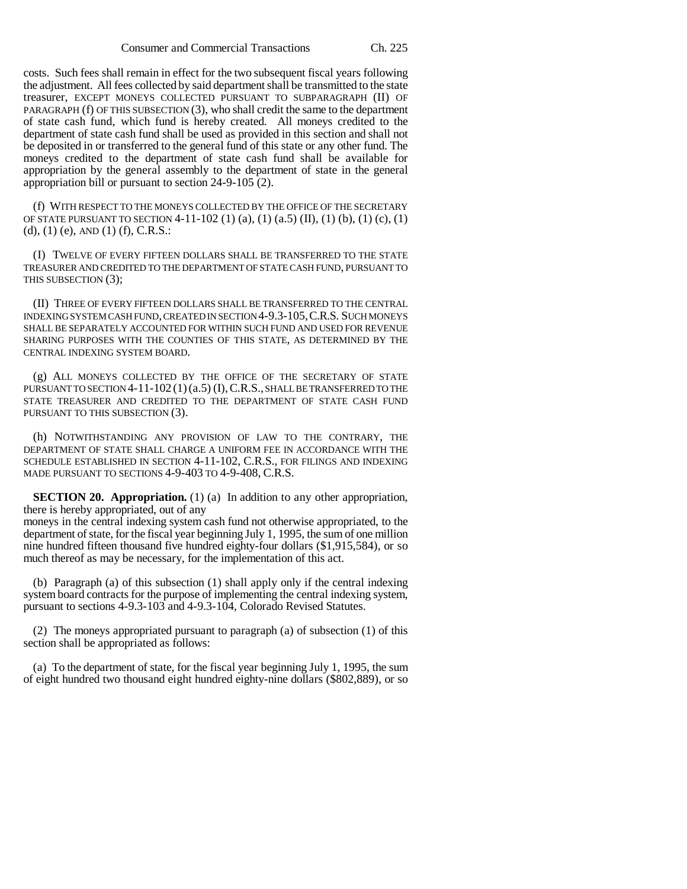costs. Such fees shall remain in effect for the two subsequent fiscal years following the adjustment. All fees collected by said department shall be transmitted to the state treasurer, EXCEPT MONEYS COLLECTED PURSUANT TO SUBPARAGRAPH (II) OF PARAGRAPH (f) OF THIS SUBSECTION (3), who shall credit the same to the department of state cash fund, which fund is hereby created. All moneys credited to the department of state cash fund shall be used as provided in this section and shall not be deposited in or transferred to the general fund of this state or any other fund. The moneys credited to the department of state cash fund shall be available for appropriation by the general assembly to the department of state in the general appropriation bill or pursuant to section 24-9-105 (2).

(f) WITH RESPECT TO THE MONEYS COLLECTED BY THE OFFICE OF THE SECRETARY OF STATE PURSUANT TO SECTION  $4-11-102(1)(a)$ ,  $(1)(a.5)(II)$ ,  $(1)(b)$ ,  $(1)(c)$ ,  $(1)$  $(d)$ ,  $(1)$   $(e)$ ,  $AND$   $(1)$   $(f)$ ,  $C.R.S.:$ 

(I) TWELVE OF EVERY FIFTEEN DOLLARS SHALL BE TRANSFERRED TO THE STATE TREASURER AND CREDITED TO THE DEPARTMENT OF STATE CASH FUND, PURSUANT TO THIS SUBSECTION (3);

(II) THREE OF EVERY FIFTEEN DOLLARS SHALL BE TRANSFERRED TO THE CENTRAL INDEXING SYSTEM CASH FUND, CREATED IN SECTION 4-9.3-105,C.R.S. SUCH MONEYS SHALL BE SEPARATELY ACCOUNTED FOR WITHIN SUCH FUND AND USED FOR REVENUE SHARING PURPOSES WITH THE COUNTIES OF THIS STATE, AS DETERMINED BY THE CENTRAL INDEXING SYSTEM BOARD.

(g) ALL MONEYS COLLECTED BY THE OFFICE OF THE SECRETARY OF STATE PURSUANT TO SECTION 4-11-102 (1)(a.5) (I), C.R.S., SHALL BE TRANSFERRED TO THE STATE TREASURER AND CREDITED TO THE DEPARTMENT OF STATE CASH FUND PURSUANT TO THIS SUBSECTION (3).

(h) NOTWITHSTANDING ANY PROVISION OF LAW TO THE CONTRARY, THE DEPARTMENT OF STATE SHALL CHARGE A UNIFORM FEE IN ACCORDANCE WITH THE SCHEDULE ESTABLISHED IN SECTION 4-11-102, C.R.S., FOR FILINGS AND INDEXING MADE PURSUANT TO SECTIONS 4-9-403 TO 4-9-408, C.R.S.

**SECTION 20. Appropriation.** (1) (a) In addition to any other appropriation, there is hereby appropriated, out of any

moneys in the central indexing system cash fund not otherwise appropriated, to the department of state, for the fiscal year beginning July 1, 1995, the sum of one million nine hundred fifteen thousand five hundred eighty-four dollars (\$1,915,584), or so much thereof as may be necessary, for the implementation of this act.

(b) Paragraph (a) of this subsection (1) shall apply only if the central indexing system board contracts for the purpose of implementing the central indexing system, pursuant to sections 4-9.3-103 and 4-9.3-104, Colorado Revised Statutes.

(2) The moneys appropriated pursuant to paragraph (a) of subsection (1) of this section shall be appropriated as follows:

(a) To the department of state, for the fiscal year beginning July 1, 1995, the sum of eight hundred two thousand eight hundred eighty-nine dollars (\$802,889), or so